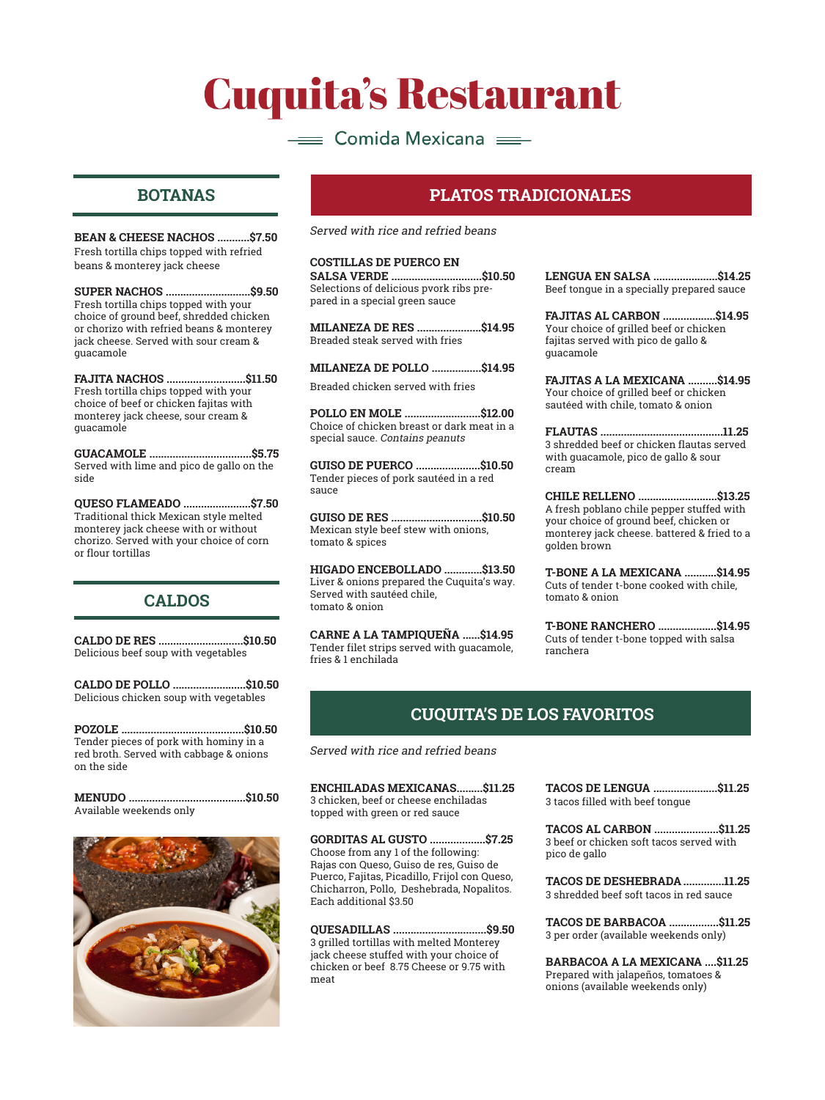# **Cuquita's Restaurant**

## $\equiv$  Comida Mexicana  $\equiv$

### **BOTANAS**

**BEAN & CHEESE NACHOS ...........\$7.50** Fresh tortilla chips topped with refried beans & monterey jack cheese

**SUPER NACHOS .............................\$9.50** Fresh tortilla chips topped with your choice of ground beef, shredded chicken or chorizo with refried beans & monterey jack cheese. Served with sour cream & guacamole

**FAJITA NACHOS ...........................\$11.50** Fresh tortilla chips topped with your choice of beef or chicken fajitas with monterey jack cheese, sour cream & guacamole

**GUACAMOLE ...................................\$5.75** Served with lime and pico de gallo on the side

**QUESO FLAMEADO .......................\$7.50** Traditional thick Mexican style melted monterey jack cheese with or without chorizo. Served with your choice of corn or flour tortillas

### **CALDOS**

**CALDO DE RES .............................\$10.50** Delicious beef soup with vegetables

**CALDO DE POLLO .........................\$10.50** Delicious chicken soup with vegetables

**POZOLE ..........................................\$10.50** Tender pieces of pork with hominy in a red broth. Served with cabbage & onions on the side

| Available weekends only |  |
|-------------------------|--|



### **PLATOS TRADICIONALES**

Served with rice and refried beans

**COSTILLAS DE PUERCO EN SALSA VERDE ...............................\$10.50** Selections of delicious pvork ribs prepared in a special green sauce

**MILANEZA DE RES ......................\$14.95** Breaded steak served with fries

**MILANEZA DE POLLO .................\$14.95**

Breaded chicken served with fries

**POLLO EN MOLE ..........................\$12.00** Choice of chicken breast or dark meat in a special sauce. Contains peanuts

**GUISO DE PUERCO ......................\$10.50** Tender pieces of pork sautéed in a red sauce

**GUISO DE RES ...............................\$10.50** Mexican style beef stew with onions, tomato & spices

**HIGADO ENCEBOLLADO .............\$13.50** Liver & onions prepared the Cuquita's way. Served with sautéed chile, tomato & onion

**CARNE A LA TAMPIQUEÑA ......\$14.95** Tender filet strips served with guacamole, fries & 1 enchilada

**LENGUA EN SALSA ......................\$14.25** Beef tongue in a specially prepared sauce

**FAJITAS AL CARBON ..................\$14.95** Your choice of grilled beef or chicken fajitas served with pico de gallo & guacamole

**FAJITAS A LA MEXICANA ..........\$14.95** Your choice of grilled beef or chicken sautéed with chile, tomato & onion

**FLAUTAS ..........................................11.25** 3 shredded beef or chicken flautas served with guacamole, pico de gallo & sour cream

**CHILE RELLENO ...........................\$13.25** A fresh poblano chile pepper stuffed with your choice of ground beef, chicken or monterey jack cheese. battered & fried to a golden brown

**T-BONE A LA MEXICANA ...........\$14.95** Cuts of tender t-bone cooked with chile, tomato & onion

**T-BONE RANCHERO ....................\$14.95** Cuts of tender t-bone topped with salsa ranchera

### **CUQUITA'S DE LOS FAVORITOS**

Served with rice and refried beans

**ENCHILADAS MEXICANAS.........\$11.25** 3 chicken, beef or cheese enchiladas topped with green or red sauce

**GORDITAS AL GUSTO ...................\$7.25** Choose from any 1 of the following: Rajas con Queso, Guiso de res, Guiso de Puerco, Fajitas, Picadillo, Frijol con Queso, Chicharron, Pollo, Deshebrada, Nopalitos. Each additional \$3.50

**QUESADILLAS ................................\$9.50** 3 grilled tortillas with melted Monterey jack cheese stuffed with your choice of chicken or beef 8.75 Cheese or 9.75 with meat

**TACOS DE LENGUA ......................\$11.25** 3 tacos filled with beef tongue

**TACOS AL CARBON ......................\$11.25** 3 beef or chicken soft tacos served with pico de gallo

**TACOS DE DESHEBRADA ..............11.25** 3 shredded beef soft tacos in red sauce

**TACOS DE BARBACOA .................\$11.25** 3 per order (available weekends only)

**BARBACOA A LA MEXICANA ....\$11.25** Prepared with jalapeños, tomatoes & onions (available weekends only)